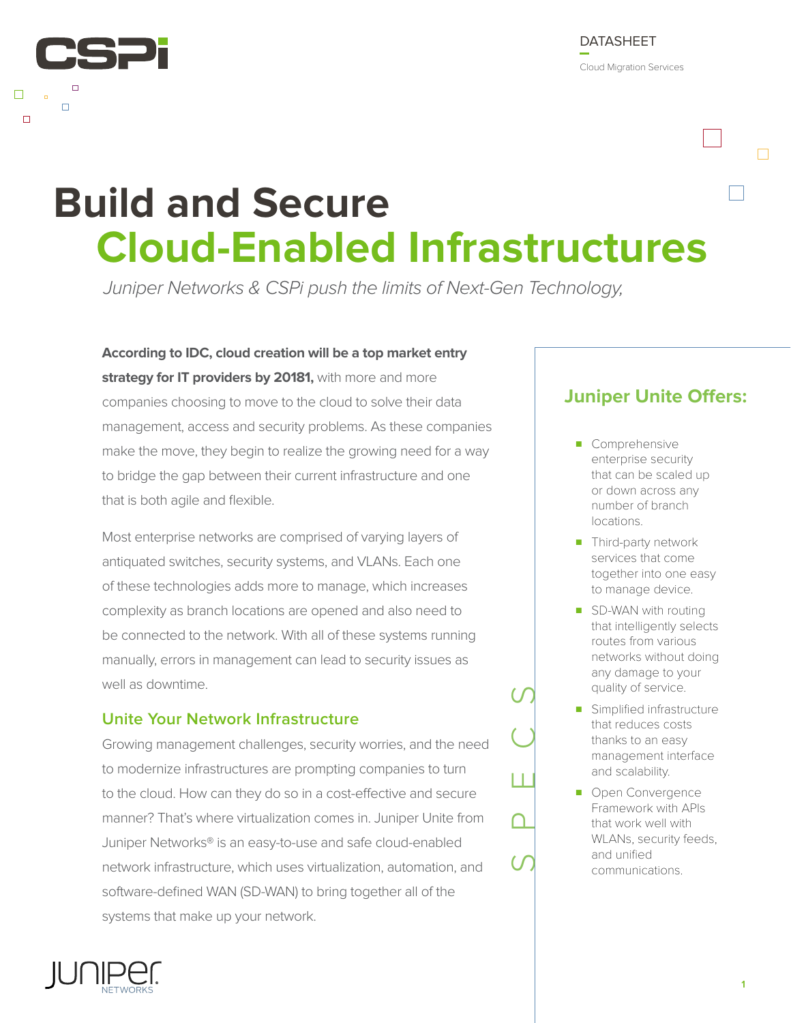

Cloud Migration Services

# **Build and Secure Cloud-Enabled Infrastructures**

Juniper Networks & CSPi push the limits of Next-Gen Technology,

**According to IDC, cloud creation will be a top market entry**  strategy for IT providers by 20181, with more and more companies choosing to move to the cloud to solve their data management, access and security problems. As these companies make the move, they begin to realize the growing need for a way to bridge the gap between their current infrastructure and one that is both agile and flexible.

Most enterprise networks are comprised of varying layers of antiquated switches, security systems, and VLANs. Each one of these technologies adds more to manage, which increases complexity as branch locations are opened and also need to be connected to the network. With all of these systems running manually, errors in management can lead to security issues as well as downtime.

#### **Unite Your Network Infrastructure**

Growing management challenges, security worries, and the need to modernize infrastructures are prompting companies to turn to the cloud. How can they do so in a cost-effective and secure manner? That's where virtualization comes in. Juniper Unite from Juniper Networks® is an easy-to-use and safe cloud-enabled network infrastructure, which uses virtualization, automation, and software-defined WAN (SD-WAN) to bring together all of the systems that make up your network.

### **Juniper Unite Offers:**

- Comprehensive enterprise security that can be scaled up or down across any number of branch locations.
- Third-party network services that come together into one easy to manage device.
- SD-WAN with routing that intelligently selects routes from various networks without doing any damage to your quality of service.
- Simplified infrastructure that reduces costs thanks to an easy management interface and scalability.
- Open Convergence Framework with APIs that work well with WLANs, security feeds, and unified communications.

SPECS

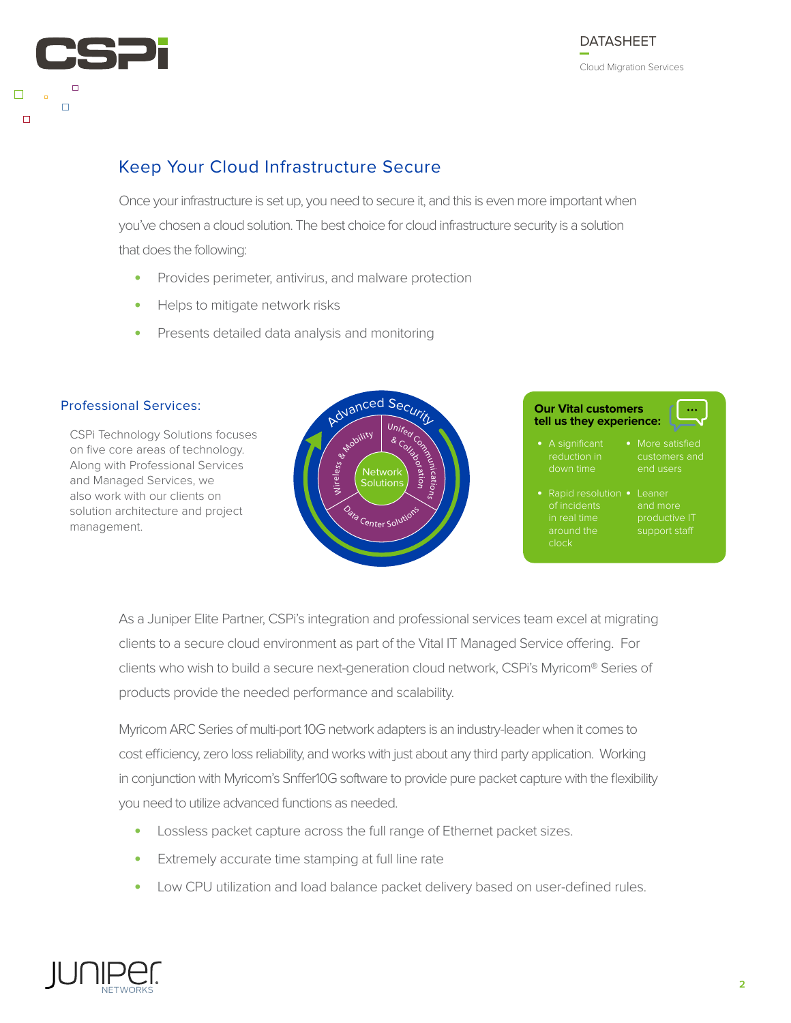

#### Keep Your Cloud Infrastructure Secure

Once your infrastructure is set up, you need to secure it, and this is even more important when you've chosen a cloud solution. The best choice for cloud infrastructure security is a solution that does the following:

- **•** Provides perimeter, antivirus, and malware protection
- **•** Helps to mitigate network risks
- **•** Presents detailed data analysis and monitoring



As a Juniper Elite Partner, CSPi's integration and professional services team excel at migrating clients to a secure cloud environment as part of the Vital IT Managed Service offering. For clients who wish to build a secure next-generation cloud network, CSPi's Myricom® Series of products provide the needed performance and scalability.

Myricom ARC Series of multi-port 10G network adapters is an industry-leader when it comes to cost efficiency, zero loss reliability, and works with just about any third party application. Working in conjunction with Myricom's Snffer10G software to provide pure packet capture with the flexibility you need to utilize advanced functions as needed.

- **•** Lossless packet capture across the full range of Ethernet packet sizes.
- **•** Extremely accurate time stamping at full line rate
- **•** Low CPU utilization and load balance packet delivery based on user-defined rules.